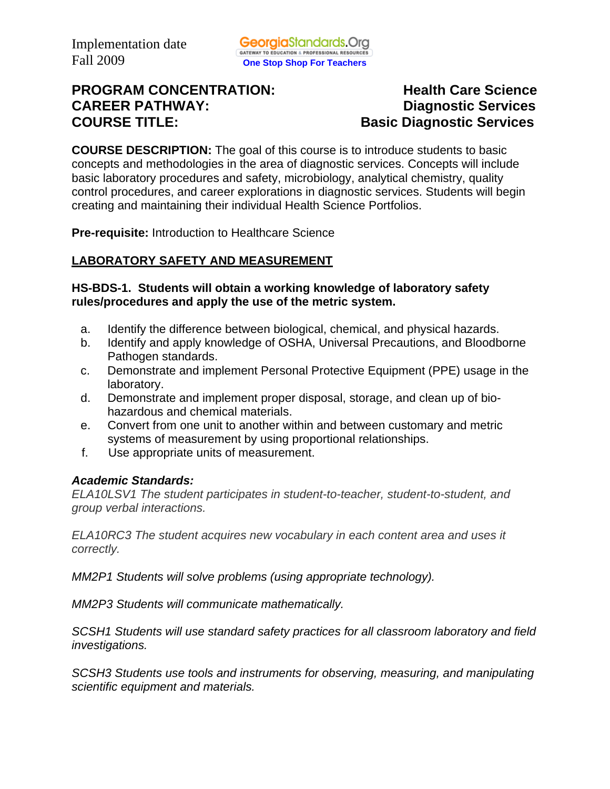# **PROGRAM CONCENTRATION:** Health Care Science **CAREER PATHWAY: Diagnostic Services COURSE TITLE: Basic Diagnostic Services**

**COURSE DESCRIPTION:** The goal of this course is to introduce students to basic concepts and methodologies in the area of diagnostic services. Concepts will include basic laboratory procedures and safety, microbiology, analytical chemistry, quality control procedures, and career explorations in diagnostic services. Students will begin creating and maintaining their individual Health Science Portfolios.

**Pre-requisite:** Introduction to Healthcare Science

## **LABORATORY SAFETY AND MEASUREMENT**

## **HS-BDS-1. Students will obtain a working knowledge of laboratory safety rules/procedures and apply the use of the metric system.**

- a. Identify the difference between biological, chemical, and physical hazards.
- b. Identify and apply knowledge of OSHA, Universal Precautions, and Bloodborne Pathogen standards.
- c. Demonstrate and implement Personal Protective Equipment (PPE) usage in the laboratory.
- d. Demonstrate and implement proper disposal, storage, and clean up of biohazardous and chemical materials.
- e. Convert from one unit to another within and between customary and metric systems of measurement by using proportional relationships.
- f. Use appropriate units of measurement.

## *Academic Standards:*

*ELA10LSV1 The student participates in student-to-teacher, student-to-student, and group verbal interactions.* 

*ELA10RC3 The student acquires new vocabulary in each content area and uses it correctly.* 

*MM2P1 Students will solve problems (using appropriate technology).* 

*MM2P3 Students will communicate mathematically.* 

*SCSH1 Students will use standard safety practices for all classroom laboratory and field investigations.* 

*SCSH3 Students use tools and instruments for observing, measuring, and manipulating scientific equipment and materials.*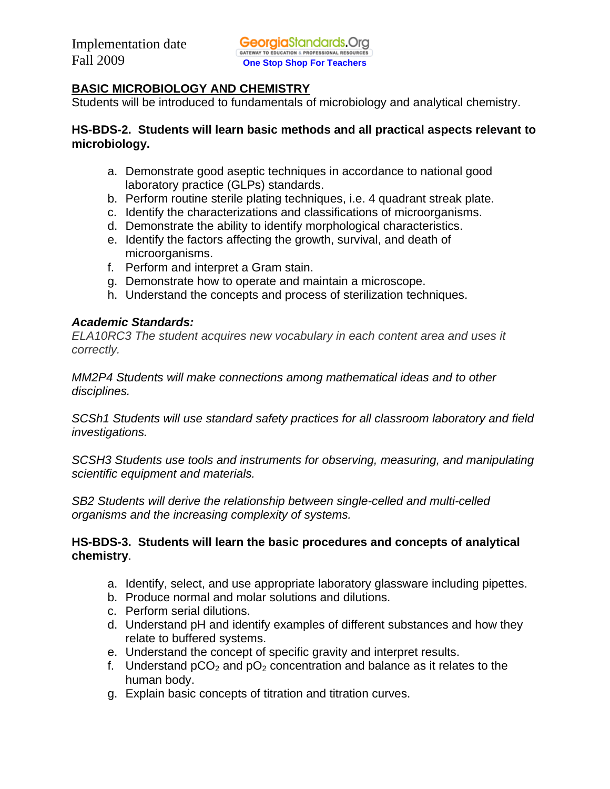## **BASIC MICROBIOLOGY AND CHEMISTRY**

Students will be introduced to fundamentals of microbiology and analytical chemistry.

## **HS-BDS-2. Students will learn basic methods and all practical aspects relevant to microbiology.**

- a. Demonstrate good aseptic techniques in accordance to national good laboratory practice (GLPs) standards.
- b. Perform routine sterile plating techniques, i.e. 4 quadrant streak plate.
- c. Identify the characterizations and classifications of microorganisms.
- d. Demonstrate the ability to identify morphological characteristics.
- e. Identify the factors affecting the growth, survival, and death of microorganisms.
- f. Perform and interpret a Gram stain.
- g. Demonstrate how to operate and maintain a microscope.
- h. Understand the concepts and process of sterilization techniques.

## *Academic Standards:*

*ELA10RC3 The student acquires new vocabulary in each content area and uses it correctly.* 

*MM2P4 Students will make connections among mathematical ideas and to other disciplines.* 

*SCSh1 Students will use standard safety practices for all classroom laboratory and field investigations.* 

*SCSH3 Students use tools and instruments for observing, measuring, and manipulating scientific equipment and materials.* 

*SB2 Students will derive the relationship between single-celled and multi-celled organisms and the increasing complexity of systems.* 

## **HS-BDS-3. Students will learn the basic procedures and concepts of analytical chemistry**.

- a. Identify, select, and use appropriate laboratory glassware including pipettes.
- b. Produce normal and molar solutions and dilutions.
- c. Perform serial dilutions.
- d. Understand pH and identify examples of different substances and how they relate to buffered systems.
- e. Understand the concept of specific gravity and interpret results.
- f. Understand  $pCO<sub>2</sub>$  and  $pO<sub>2</sub>$  concentration and balance as it relates to the human body.
- g. Explain basic concepts of titration and titration curves.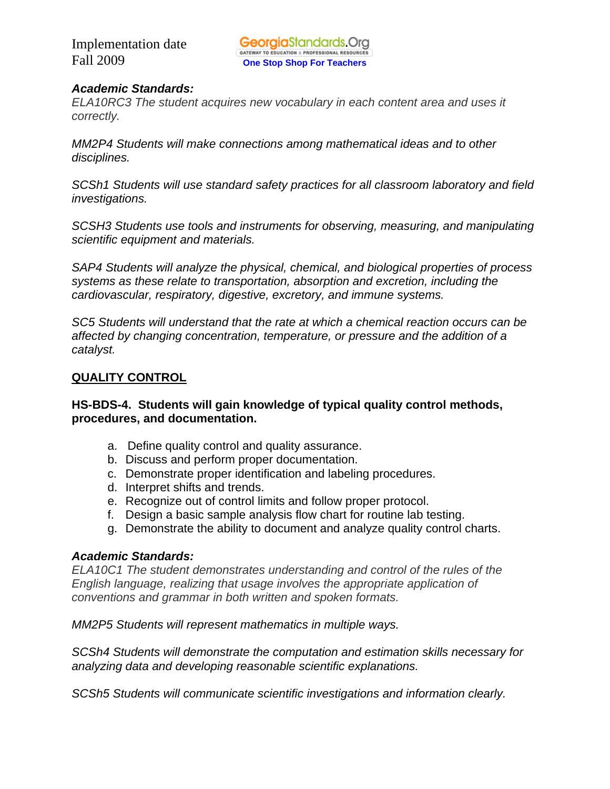## *Academic Standards:*

*ELA10RC3 The student acquires new vocabulary in each content area and uses it correctly.* 

*MM2P4 Students will make connections among mathematical ideas and to other disciplines.* 

*SCSh1 Students will use standard safety practices for all classroom laboratory and field investigations.* 

*SCSH3 Students use tools and instruments for observing, measuring, and manipulating scientific equipment and materials.* 

*SAP4 Students will analyze the physical, chemical, and biological properties of process systems as these relate to transportation, absorption and excretion, including the cardiovascular, respiratory, digestive, excretory, and immune systems.* 

*SC5 Students will understand that the rate at which a chemical reaction occurs can be affected by changing concentration, temperature, or pressure and the addition of a catalyst.* 

## **QUALITY CONTROL**

## **HS-BDS-4. Students will gain knowledge of typical quality control methods, procedures, and documentation.**

- a. Define quality control and quality assurance.
- b. Discuss and perform proper documentation.
- c. Demonstrate proper identification and labeling procedures.
- d. Interpret shifts and trends.
- e. Recognize out of control limits and follow proper protocol.
- f. Design a basic sample analysis flow chart for routine lab testing.
- g. Demonstrate the ability to document and analyze quality control charts.

#### *Academic Standards:*

*ELA10C1 The student demonstrates understanding and control of the rules of the English language, realizing that usage involves the appropriate application of conventions and grammar in both written and spoken formats.* 

*MM2P5 Students will represent mathematics in multiple ways.* 

*SCSh4 Students will demonstrate the computation and estimation skills necessary for analyzing data and developing reasonable scientific explanations.* 

*SCSh5 Students will communicate scientific investigations and information clearly.*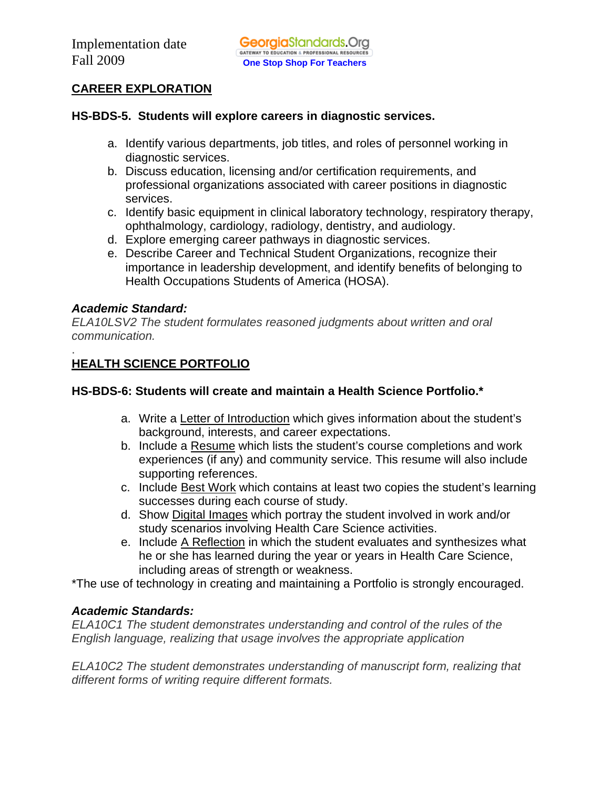## **CAREER EXPLORATION**

#### **HS-BDS-5. Students will explore careers in diagnostic services.**

- a. Identify various departments, job titles, and roles of personnel working in diagnostic services.
- b. Discuss education, licensing and/or certification requirements, and professional organizations associated with career positions in diagnostic services.
- c. Identify basic equipment in clinical laboratory technology, respiratory therapy, ophthalmology, cardiology, radiology, dentistry, and audiology.
- d. Explore emerging career pathways in diagnostic services.
- e. Describe Career and Technical Student Organizations, recognize their importance in leadership development, and identify benefits of belonging to Health Occupations Students of America (HOSA).

## *Academic Standard:*

*ELA10LSV2 The student formulates reasoned judgments about written and oral communication.* 

#### . **HEALTH SCIENCE PORTFOLIO**

## **HS-BDS-6: Students will create and maintain a Health Science Portfolio.\***

- a. Write a Letter of Introduction which gives information about the student's background, interests, and career expectations.
- b. Include a Resume which lists the student's course completions and work experiences (if any) and community service. This resume will also include supporting references.
- c. Include Best Work which contains at least two copies the student's learning successes during each course of study.
- d. Show Digital Images which portray the student involved in work and/or study scenarios involving Health Care Science activities.
- e. Include A Reflection in which the student evaluates and synthesizes what he or she has learned during the year or years in Health Care Science, including areas of strength or weakness.

\*The use of technology in creating and maintaining a Portfolio is strongly encouraged.

## *Academic Standards:*

*ELA10C1 The student demonstrates understanding and control of the rules of the English language, realizing that usage involves the appropriate application* 

*ELA10C2 The student demonstrates understanding of manuscript form, realizing that different forms of writing require different formats.*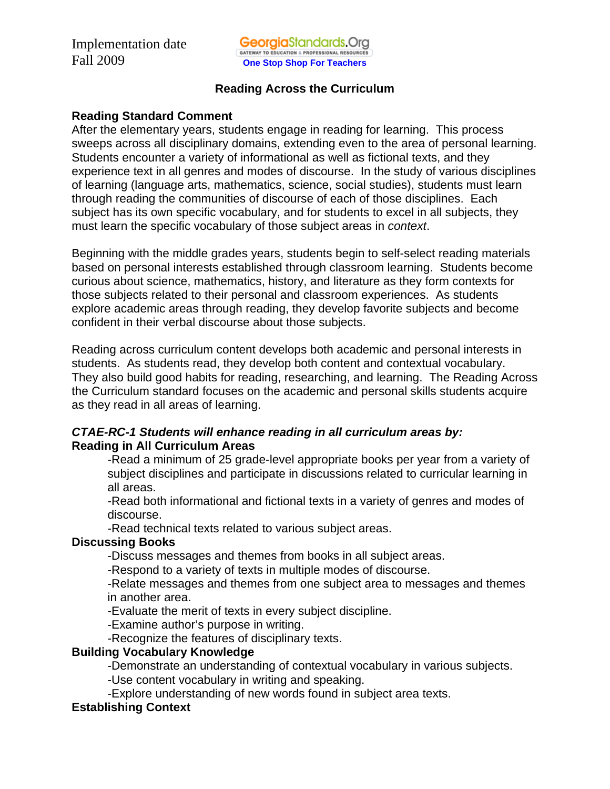## **Reading Across the Curriculum**

#### **Reading Standard Comment**

After the elementary years, students engage in reading for learning. This process sweeps across all disciplinary domains, extending even to the area of personal learning. Students encounter a variety of informational as well as fictional texts, and they experience text in all genres and modes of discourse. In the study of various disciplines of learning (language arts, mathematics, science, social studies), students must learn through reading the communities of discourse of each of those disciplines. Each subject has its own specific vocabulary, and for students to excel in all subjects, they must learn the specific vocabulary of those subject areas in *context*.

Beginning with the middle grades years, students begin to self-select reading materials based on personal interests established through classroom learning. Students become curious about science, mathematics, history, and literature as they form contexts for those subjects related to their personal and classroom experiences. As students explore academic areas through reading, they develop favorite subjects and become confident in their verbal discourse about those subjects.

Reading across curriculum content develops both academic and personal interests in students. As students read, they develop both content and contextual vocabulary. They also build good habits for reading, researching, and learning. The Reading Across the Curriculum standard focuses on the academic and personal skills students acquire as they read in all areas of learning.

#### *CTAE-RC-1 Students will enhance reading in all curriculum areas by:*  **Reading in All Curriculum Areas**

-Read a minimum of 25 grade-level appropriate books per year from a variety of subject disciplines and participate in discussions related to curricular learning in all areas.

-Read both informational and fictional texts in a variety of genres and modes of discourse.

-Read technical texts related to various subject areas.

#### **Discussing Books**

-Discuss messages and themes from books in all subject areas.

-Respond to a variety of texts in multiple modes of discourse.

-Relate messages and themes from one subject area to messages and themes in another area.

-Evaluate the merit of texts in every subject discipline.

-Examine author's purpose in writing.

-Recognize the features of disciplinary texts.

#### **Building Vocabulary Knowledge**

-Demonstrate an understanding of contextual vocabulary in various subjects.

-Use content vocabulary in writing and speaking.

-Explore understanding of new words found in subject area texts.

#### **Establishing Context**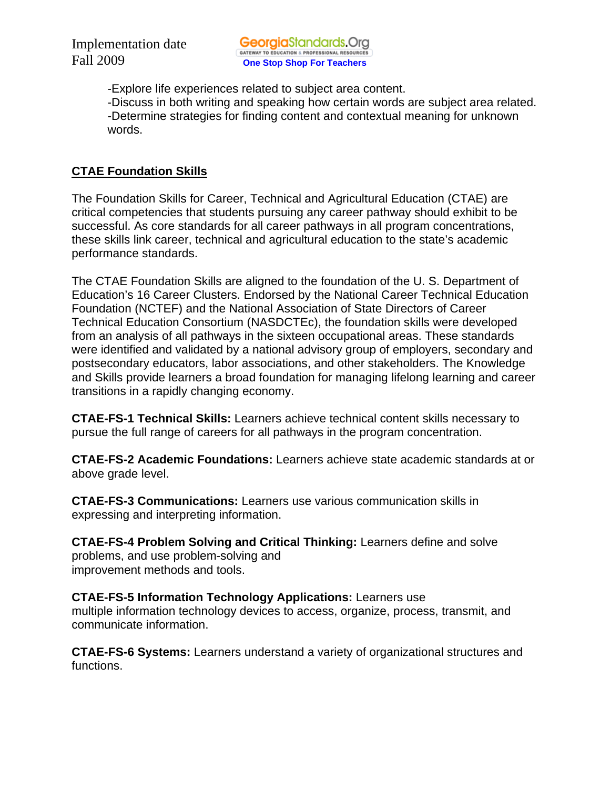-Explore life experiences related to subject area content. -Discuss in both writing and speaking how certain words are subject area related. -Determine strategies for finding content and contextual meaning for unknown words.

## **CTAE Foundation Skills**

The Foundation Skills for Career, Technical and Agricultural Education (CTAE) are critical competencies that students pursuing any career pathway should exhibit to be successful. As core standards for all career pathways in all program concentrations, these skills link career, technical and agricultural education to the state's academic performance standards.

The CTAE Foundation Skills are aligned to the foundation of the U. S. Department of Education's 16 Career Clusters. Endorsed by the National Career Technical Education Foundation (NCTEF) and the National Association of State Directors of Career Technical Education Consortium (NASDCTEc), the foundation skills were developed from an analysis of all pathways in the sixteen occupational areas. These standards were identified and validated by a national advisory group of employers, secondary and postsecondary educators, labor associations, and other stakeholders. The Knowledge and Skills provide learners a broad foundation for managing lifelong learning and career transitions in a rapidly changing economy.

**CTAE-FS-1 Technical Skills:** Learners achieve technical content skills necessary to pursue the full range of careers for all pathways in the program concentration.

**CTAE-FS-2 Academic Foundations:** Learners achieve state academic standards at or above grade level.

**CTAE-FS-3 Communications:** Learners use various communication skills in expressing and interpreting information.

**CTAE-FS-4 Problem Solving and Critical Thinking:** Learners define and solve problems, and use problem-solving and improvement methods and tools.

**CTAE-FS-5 Information Technology Applications:** Learners use multiple information technology devices to access, organize, process, transmit, and communicate information.

**CTAE-FS-6 Systems:** Learners understand a variety of organizational structures and functions.